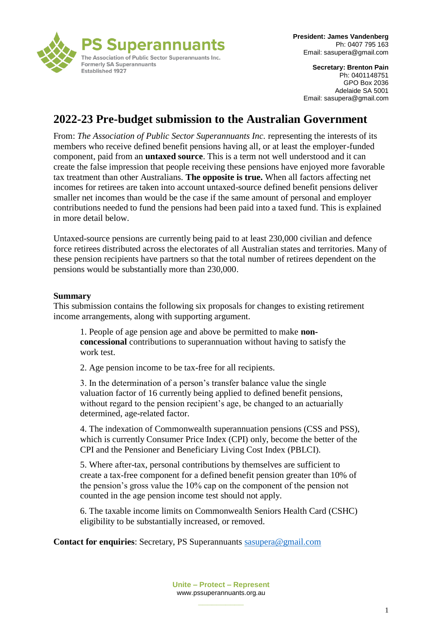

**Secretary: Brenton Pain** Ph: 0401148751 GPO Box 2036 Adelaide SA 5001 Email: sasupera@gmail.com

# **2022-23 Pre-budget submission to the Australian Government**

From: *The Association of Public Sector Superannuants Inc.* representing the interests of its members who receive defined benefit pensions having all, or at least the employer-funded component, paid from an **untaxed source**. This is a term not well understood and it can create the false impression that people receiving these pensions have enjoyed more favorable tax treatment than other Australians. **The opposite is true.** When all factors affecting net incomes for retirees are taken into account untaxed-source defined benefit pensions deliver smaller net incomes than would be the case if the same amount of personal and employer contributions needed to fund the pensions had been paid into a taxed fund. This is explained in more detail below.

Untaxed-source pensions are currently being paid to at least 230,000 civilian and defence force retirees distributed across the electorates of all Australian states and territories. Many of these pension recipients have partners so that the total number of retirees dependent on the pensions would be substantially more than 230,000.

#### **Summary**

This submission contains the following six proposals for changes to existing retirement income arrangements, along with supporting argument.

1. People of age pension age and above be permitted to make **nonconcessional** contributions to superannuation without having to satisfy the work test.

2. Age pension income to be tax-free for all recipients.

3. In the determination of a person's transfer balance value the single valuation factor of 16 currently being applied to defined benefit pensions, without regard to the pension recipient's age, be changed to an actuarially determined, age-related factor.

4. The indexation of Commonwealth superannuation pensions (CSS and PSS), which is currently Consumer Price Index (CPI) only, become the better of the CPI and the Pensioner and Beneficiary Living Cost Index (PBLCI).

5. Where after-tax, personal contributions by themselves are sufficient to create a tax-free component for a defined benefit pension greater than 10% of the pension's gross value the 10% cap on the component of the pension not counted in the age pension income test should not apply.

6. The taxable income limits on Commonwealth Seniors Health Card (CSHC) eligibility to be substantially increased, or removed.

**Contact for enquiries**: Secretary, PS Superannuants [sasupera@gmail.com](mailto:sasupera@gmail.com)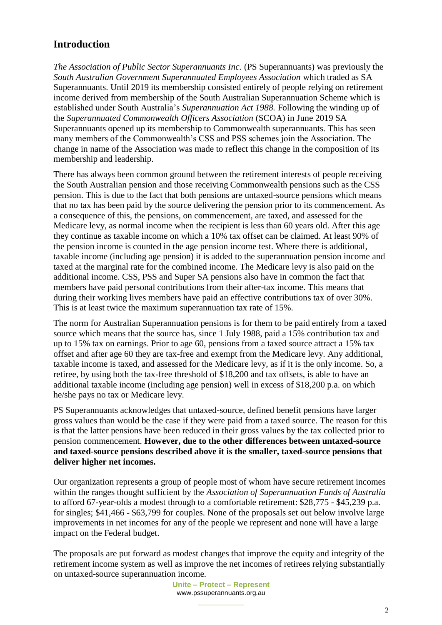# **Introduction**

*The Association of Public Sector Superannuants Inc.* (PS Superannuants) was previously the *South Australian Government Superannuated Employees Association* which traded as SA Superannuants. Until 2019 its membership consisted entirely of people relying on retirement income derived from membership of the South Australian Superannuation Scheme which is established under South Australia's *Superannuation Act 1988.* Following the winding up of the *Superannuated Commonwealth Officers Association* (SCOA) in June 2019 SA Superannuants opened up its membership to Commonwealth superannuants. This has seen many members of the Commonwealth's CSS and PSS schemes join the Association. The change in name of the Association was made to reflect this change in the composition of its membership and leadership.

There has always been common ground between the retirement interests of people receiving the South Australian pension and those receiving Commonwealth pensions such as the CSS pension. This is due to the fact that both pensions are untaxed-source pensions which means that no tax has been paid by the source delivering the pension prior to its commencement. As a consequence of this, the pensions, on commencement, are taxed, and assessed for the Medicare levy, as normal income when the recipient is less than 60 years old. After this age they continue as taxable income on which a 10% tax offset can be claimed. At least 90% of the pension income is counted in the age pension income test. Where there is additional, taxable income (including age pension) it is added to the superannuation pension income and taxed at the marginal rate for the combined income. The Medicare levy is also paid on the additional income. CSS, PSS and Super SA pensions also have in common the fact that members have paid personal contributions from their after-tax income. This means that during their working lives members have paid an effective contributions tax of over 30%. This is at least twice the maximum superannuation tax rate of 15%.

The norm for Australian Superannuation pensions is for them to be paid entirely from a taxed source which means that the source has, since 1 July 1988, paid a 15% contribution tax and up to 15% tax on earnings. Prior to age 60, pensions from a taxed source attract a 15% tax offset and after age 60 they are tax-free and exempt from the Medicare levy. Any additional, taxable income is taxed, and assessed for the Medicare levy, as if it is the only income. So, a retiree, by using both the tax-free threshold of \$18,200 and tax offsets, is able to have an additional taxable income (including age pension) well in excess of \$18,200 p.a. on which he/she pays no tax or Medicare levy.

PS Superannuants acknowledges that untaxed-source, defined benefit pensions have larger gross values than would be the case if they were paid from a taxed source. The reason for this is that the latter pensions have been reduced in their gross values by the tax collected prior to pension commencement. **However, due to the other differences between untaxed-source and taxed-source pensions described above it is the smaller, taxed-source pensions that deliver higher net incomes.** 

Our organization represents a group of people most of whom have secure retirement incomes within the ranges thought sufficient by the *Association of Superannuation Funds of Australia*  to afford 67-year-olds a modest through to a comfortable retirement: \$28,775 - \$45,239 p.a. for singles; \$41,466 - \$63,799 for couples. None of the proposals set out below involve large improvements in net incomes for any of the people we represent and none will have a large impact on the Federal budget.

The proposals are put forward as modest changes that improve the equity and integrity of the retirement income system as well as improve the net incomes of retirees relying substantially on untaxed-source superannuation income.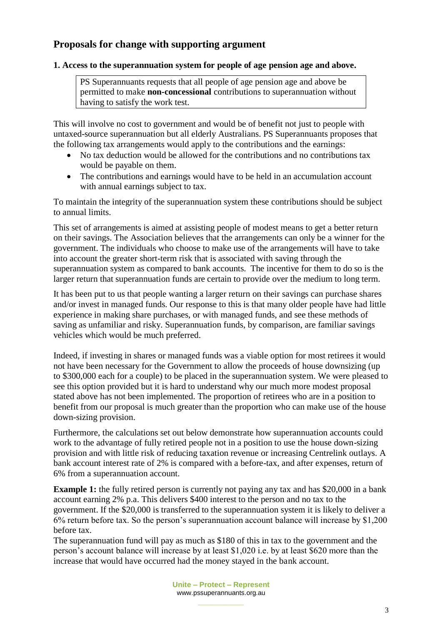## **Proposals for change with supporting argument**

### **1. Access to the superannuation system for people of age pension age and above.**

PS Superannuants requests that all people of age pension age and above be permitted to make **non-concessional** contributions to superannuation without having to satisfy the work test.

This will involve no cost to government and would be of benefit not just to people with untaxed-source superannuation but all elderly Australians. PS Superannuants proposes that the following tax arrangements would apply to the contributions and the earnings:

- No tax deduction would be allowed for the contributions and no contributions tax would be payable on them.
- The contributions and earnings would have to be held in an accumulation account with annual earnings subject to tax.

To maintain the integrity of the superannuation system these contributions should be subject to annual limits.

This set of arrangements is aimed at assisting people of modest means to get a better return on their savings. The Association believes that the arrangements can only be a winner for the government. The individuals who choose to make use of the arrangements will have to take into account the greater short-term risk that is associated with saving through the superannuation system as compared to bank accounts. The incentive for them to do so is the larger return that superannuation funds are certain to provide over the medium to long term.

It has been put to us that people wanting a larger return on their savings can purchase shares and/or invest in managed funds. Our response to this is that many older people have had little experience in making share purchases, or with managed funds, and see these methods of saving as unfamiliar and risky. Superannuation funds, by comparison, are familiar savings vehicles which would be much preferred.

Indeed, if investing in shares or managed funds was a viable option for most retirees it would not have been necessary for the Government to allow the proceeds of house downsizing (up to \$300,000 each for a couple) to be placed in the superannuation system. We were pleased to see this option provided but it is hard to understand why our much more modest proposal stated above has not been implemented. The proportion of retirees who are in a position to benefit from our proposal is much greater than the proportion who can make use of the house down-sizing provision.

Furthermore, the calculations set out below demonstrate how superannuation accounts could work to the advantage of fully retired people not in a position to use the house down-sizing provision and with little risk of reducing taxation revenue or increasing Centrelink outlays. A bank account interest rate of 2% is compared with a before-tax, and after expenses, return of 6% from a superannuation account.

**Example 1:** the fully retired person is currently not paying any tax and has \$20,000 in a bank account earning 2% p.a. This delivers \$400 interest to the person and no tax to the government. If the \$20,000 is transferred to the superannuation system it is likely to deliver a 6% return before tax. So the person's superannuation account balance will increase by \$1,200 before tax.

The superannuation fund will pay as much as \$180 of this in tax to the government and the person's account balance will increase by at least \$1,020 i.e. by at least \$620 more than the increase that would have occurred had the money stayed in the bank account.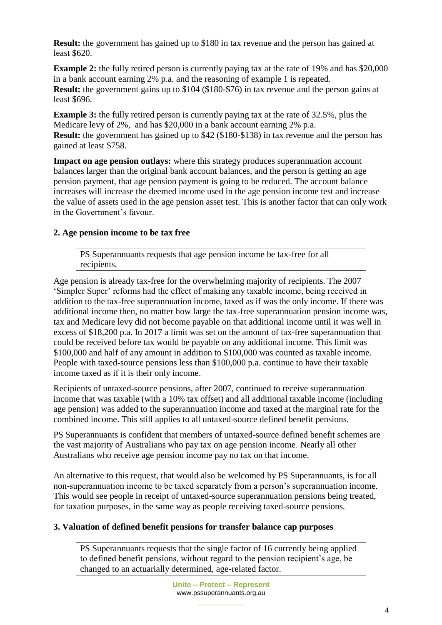**Result:** the government has gained up to \$180 in tax revenue and the person has gained at least \$620.

**Example 2:** the fully retired person is currently paying tax at the rate of 19% and has \$20,000 in a bank account earning 2% p.a. and the reasoning of example 1 is repeated. **Result:** the government gains up to \$104 (\$180-\$76) in tax revenue and the person gains at least \$696.

**Example 3:** the fully retired person is currently paying tax at the rate of 32.5%, plus the Medicare levy of 2%, and has \$20,000 in a bank account earning 2% p.a. **Result:** the government has gained up to \$42 (\$180-\$138) in tax revenue and the person has gained at least \$758.

**Impact on age pension outlays:** where this strategy produces superannuation account balances larger than the original bank account balances, and the person is getting an age pension payment, that age pension payment is going to be reduced. The account balance increases will increase the deemed income used in the age pension income test and increase the value of assets used in the age pension asset test. This is another factor that can only work in the Government's favour.

## **2. Age pension income to be tax free**

PS Superannuants requests that age pension income be tax-free for all recipients.

Age pension is already tax-free for the overwhelming majority of recipients. The 2007 'Simpler Super' reforms had the effect of making any taxable income, being received in addition to the tax-free superannuation income, taxed as if was the only income. If there was additional income then, no matter how large the tax-free superannuation pension income was, tax and Medicare levy did not become payable on that additional income until it was well in excess of \$18,200 p.a. In 2017 a limit was set on the amount of tax-free superannuation that could be received before tax would be payable on any additional income. This limit was \$100,000 and half of any amount in addition to \$100,000 was counted as taxable income. People with taxed-source pensions less than \$100,000 p.a. continue to have their taxable income taxed as if it is their only income.

Recipients of untaxed-source pensions, after 2007, continued to receive superannuation income that was taxable (with a 10% tax offset) and all additional taxable income (including age pension) was added to the superannuation income and taxed at the marginal rate for the combined income. This still applies to all untaxed-source defined benefit pensions.

PS Superannuants is confident that members of untaxed-source defined benefit schemes are the vast majority of Australians who pay tax on age pension income. Nearly all other Australians who receive age pension income pay no tax on that income.

An alternative to this request, that would also be welcomed by PS Superannuants, is for all non-superannuation income to be taxed separately from a person's superannuation income. This would see people in receipt of untaxed-source superannuation pensions being treated, for taxation purposes, in the same way as people receiving taxed-source pensions.

## **3. Valuation of defined benefit pensions for transfer balance cap purposes**

PS Superannuants requests that the single factor of 16 currently being applied to defined benefit pensions, without regard to the pension recipient's age, be changed to an actuarially determined, age-related factor.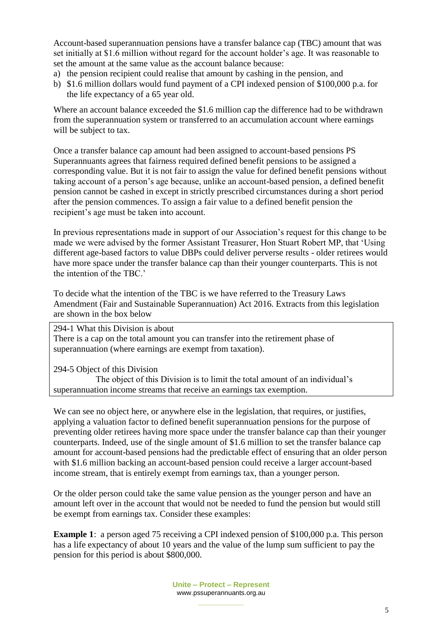Account-based superannuation pensions have a transfer balance cap (TBC) amount that was set initially at \$1.6 million without regard for the account holder's age. It was reasonable to set the amount at the same value as the account balance because:

- a) the pension recipient could realise that amount by cashing in the pension, and
- b) \$1.6 million dollars would fund payment of a CPI indexed pension of \$100,000 p.a. for the life expectancy of a 65 year old.

Where an account balance exceeded the \$1.6 million cap the difference had to be withdrawn from the superannuation system or transferred to an accumulation account where earnings will be subject to tax.

Once a transfer balance cap amount had been assigned to account-based pensions PS Superannuants agrees that fairness required defined benefit pensions to be assigned a corresponding value. But it is not fair to assign the value for defined benefit pensions without taking account of a person's age because, unlike an account-based pension, a defined benefit pension cannot be cashed in except in strictly prescribed circumstances during a short period after the pension commences. To assign a fair value to a defined benefit pension the recipient's age must be taken into account.

In previous representations made in support of our Association's request for this change to be made we were advised by the former Assistant Treasurer, Hon Stuart Robert MP, that 'Using different age-based factors to value DBPs could deliver perverse results - older retirees would have more space under the transfer balance cap than their younger counterparts. This is not the intention of the TBC.'

To decide what the intention of the TBC is we have referred to the Treasury Laws Amendment (Fair and Sustainable Superannuation) Act 2016. Extracts from this legislation are shown in the box below

294-1 What this Division is about

There is a cap on the total amount you can transfer into the retirement phase of superannuation (where earnings are exempt from taxation).

294-5 Object of this Division

 The object of this Division is to limit the total amount of an individual's superannuation income streams that receive an earnings tax exemption.

We can see no object here, or anywhere else in the legislation, that requires, or justifies, applying a valuation factor to defined benefit superannuation pensions for the purpose of preventing older retirees having more space under the transfer balance cap than their younger counterparts. Indeed, use of the single amount of \$1.6 million to set the transfer balance cap amount for account-based pensions had the predictable effect of ensuring that an older person with \$1.6 million backing an account-based pension could receive a larger account-based income stream, that is entirely exempt from earnings tax, than a younger person.

Or the older person could take the same value pension as the younger person and have an amount left over in the account that would not be needed to fund the pension but would still be exempt from earnings tax. Consider these examples:

**Example 1**: a person aged 75 receiving a CPI indexed pension of \$100,000 p.a. This person has a life expectancy of about 10 years and the value of the lump sum sufficient to pay the pension for this period is about \$800,000.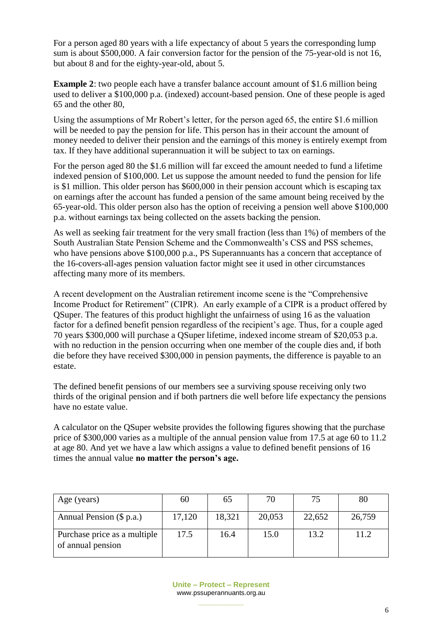For a person aged 80 years with a life expectancy of about 5 years the corresponding lump sum is about \$500,000. A fair conversion factor for the pension of the 75-year-old is not 16, but about 8 and for the eighty-year-old, about 5.

**Example 2**: two people each have a transfer balance account amount of \$1.6 million being used to deliver a \$100,000 p.a. (indexed) account-based pension. One of these people is aged 65 and the other 80,

Using the assumptions of Mr Robert's letter, for the person aged 65, the entire \$1.6 million will be needed to pay the pension for life. This person has in their account the amount of money needed to deliver their pension and the earnings of this money is entirely exempt from tax. If they have additional superannuation it will be subject to tax on earnings.

For the person aged 80 the \$1.6 million will far exceed the amount needed to fund a lifetime indexed pension of \$100,000. Let us suppose the amount needed to fund the pension for life is \$1 million. This older person has \$600,000 in their pension account which is escaping tax on earnings after the account has funded a pension of the same amount being received by the 65-year-old. This older person also has the option of receiving a pension well above \$100,000 p.a. without earnings tax being collected on the assets backing the pension.

As well as seeking fair treatment for the very small fraction (less than 1%) of members of the South Australian State Pension Scheme and the Commonwealth's CSS and PSS schemes, who have pensions above \$100,000 p.a., PS Superannuants has a concern that acceptance of the 16-covers-all-ages pension valuation factor might see it used in other circumstances affecting many more of its members.

A recent development on the Australian retirement income scene is the "Comprehensive Income Product for Retirement" (CIPR). An early example of a CIPR is a product offered by QSuper. The features of this product highlight the unfairness of using 16 as the valuation factor for a defined benefit pension regardless of the recipient's age. Thus, for a couple aged 70 years \$300,000 will purchase a QSuper lifetime, indexed income stream of \$20,053 p.a. with no reduction in the pension occurring when one member of the couple dies and, if both die before they have received \$300,000 in pension payments, the difference is payable to an estate.

The defined benefit pensions of our members see a surviving spouse receiving only two thirds of the original pension and if both partners die well before life expectancy the pensions have no estate value.

A calculator on the QSuper website provides the following figures showing that the purchase price of \$300,000 varies as a multiple of the annual pension value from 17.5 at age 60 to 11.2 at age 80. And yet we have a law which assigns a value to defined benefit pensions of 16 times the annual value **no matter the person's age.**

| Age (years)                                       | 60     | 65     | 70     | 75     | 80     |
|---------------------------------------------------|--------|--------|--------|--------|--------|
| Annual Pension (\$ p.a.)                          | 17,120 | 18,321 | 20,053 | 22,652 | 26,759 |
| Purchase price as a multiple<br>of annual pension | 17.5   | 16.4   | 15.0   | 13.2   | 11.2   |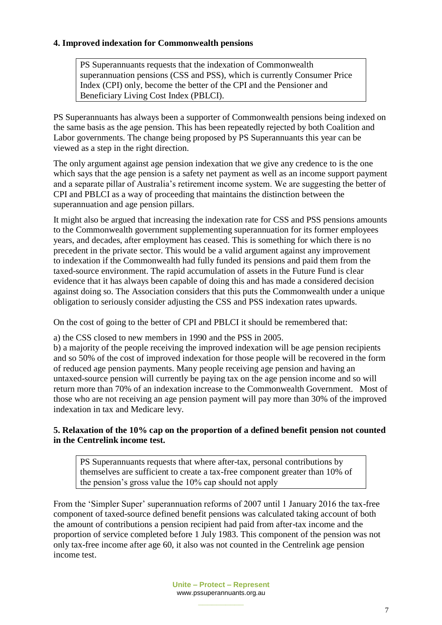## **4. Improved indexation for Commonwealth pensions**

PS Superannuants requests that the indexation of Commonwealth superannuation pensions (CSS and PSS), which is currently Consumer Price Index (CPI) only, become the better of the CPI and the Pensioner and Beneficiary Living Cost Index (PBLCI).

PS Superannuants has always been a supporter of Commonwealth pensions being indexed on the same basis as the age pension. This has been repeatedly rejected by both Coalition and Labor governments. The change being proposed by PS Superannuants this year can be viewed as a step in the right direction.

The only argument against age pension indexation that we give any credence to is the one which says that the age pension is a safety net payment as well as an income support payment and a separate pillar of Australia's retirement income system. We are suggesting the better of CPI and PBLCI as a way of proceeding that maintains the distinction between the superannuation and age pension pillars.

It might also be argued that increasing the indexation rate for CSS and PSS pensions amounts to the Commonwealth government supplementing superannuation for its former employees years, and decades, after employment has ceased. This is something for which there is no precedent in the private sector. This would be a valid argument against any improvement to indexation if the Commonwealth had fully funded its pensions and paid them from the taxed-source environment. The rapid accumulation of assets in the Future Fund is clear evidence that it has always been capable of doing this and has made a considered decision against doing so. The Association considers that this puts the Commonwealth under a unique obligation to seriously consider adjusting the CSS and PSS indexation rates upwards.

On the cost of going to the better of CPI and PBLCI it should be remembered that:

a) the CSS closed to new members in 1990 and the PSS in 2005.

b) a majority of the people receiving the improved indexation will be age pension recipients and so 50% of the cost of improved indexation for those people will be recovered in the form of reduced age pension payments. Many people receiving age pension and having an untaxed-source pension will currently be paying tax on the age pension income and so will return more than 70% of an indexation increase to the Commonwealth Government. Most of those who are not receiving an age pension payment will pay more than 30% of the improved indexation in tax and Medicare levy.

## **5. Relaxation of the 10% cap on the proportion of a defined benefit pension not counted in the Centrelink income test.**

PS Superannuants requests that where after-tax, personal contributions by themselves are sufficient to create a tax-free component greater than 10% of the pension's gross value the 10% cap should not apply

From the 'Simpler Super' superannuation reforms of 2007 until 1 January 2016 the tax-free component of taxed-source defined benefit pensions was calculated taking account of both the amount of contributions a pension recipient had paid from after-tax income and the proportion of service completed before 1 July 1983. This component of the pension was not only tax-free income after age 60, it also was not counted in the Centrelink age pension income test.